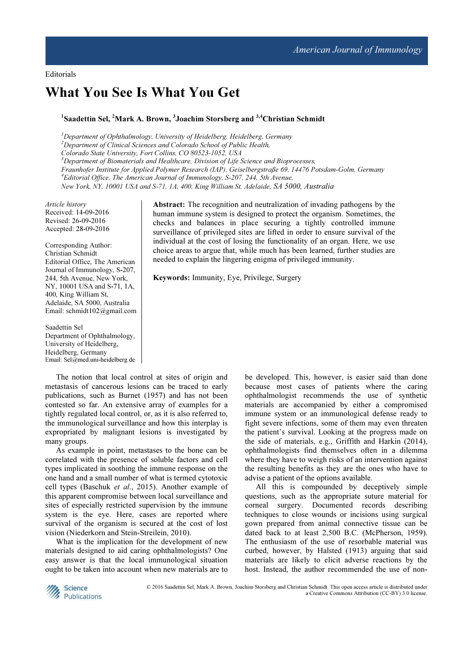# What You See Is What You Get

## <sup>1</sup>Saadettin Sel, <sup>2</sup>Mark A. Brown, <sup>3</sup>Joachim Storsberg and <sup>3,4</sup>Christian Schmidt

 $1$ Department of Ophthalmology, University of Heidelberg, Heidelberg, Germany <sup>2</sup>Department of Clinical Sciences and Colorado School of Public Health, Colorado State University, Fort Collins, CO 80523-1052, USA  $3$ Department of Biomaterials and Healthcare, Division of Life Science and Bioprocesses, Fraunhofer Institute for Applied Polymer Research (IAP), Geiselbergstraße 69, 14476 Potsdam-Golm, Germany  $^{4}$ Editorial Office, The American Journal of Immunology, S-207, 244, 5th Avenue, New York, NY, 10001 USA and S-71, 1A, 400, King William St, Adelaide, SA 5000, Australia

Article history Received: 14-09-2016 Revised: 26-09-2016 Accepted: 28-09-2016

Corresponding Author: Christian Schmidt Editorial Office, The American Journal of Immunology, S-207, 244, 5th Avenue, New York, NY, 10001 USA and S-71, 1A, 400, King William St, Adelaide, SA 5000, Australia Email: schmidt102@gmail.com

Saadettin Sel Department of Ophthalmology, University of Heidelberg, Heidelberg, Germany Email: Sel@med.uni-heidelberg.de

The notion that local control at sites of origin and metastasis of cancerous lesions can be traced to early publications, such as Burnet (1957) and has not been contested so far. An extensive array of examples for a tightly regulated local control, or, as it is also referred to, the immunological surveillance and how this interplay is expropriated by malignant lesions is investigated by many groups.

As example in point, metastases to the bone can be correlated with the presence of soluble factors and cell types implicated in soothing the immune response on the one hand and a small number of what is termed cytotoxic cell types (Baschuk et al., 2015). Another example of this apparent compromise between local surveillance and sites of especially restricted supervision by the immune system is the eye. Here, cases are reported where survival of the organism is secured at the cost of lost vision (Niederkorn and Stein-Streilein, 2010).

What is the implication for the development of new materials designed to aid caring ophthalmologists? One easy answer is that the local immunological situation ought to be taken into account when new materials are to

Abstract: The recognition and neutralization of invading pathogens by the human immune system is designed to protect the organism. Sometimes, the checks and balances in place securing a tightly controlled immune surveillance of privileged sites are lifted in order to ensure survival of the individual at the cost of losing the functionality of an organ. Here, we use choice areas to argue that, while much has been learned, further studies are needed to explain the lingering enigma of privileged immunity.

Keywords: Immunity, Eye, Privilege, Surgery

be developed. This, however, is easier said than done because most cases of patients where the caring ophthalmologist recommends the use of synthetic materials are accompanied by either a compromised immune system or an immunological defense ready to fight severe infections, some of them may even threaten the patient's survival. Looking at the progress made on the side of materials, e.g., Griffith and Harkin (2014), ophthalmologists find themselves often in a dilemma where they have to weigh risks of an intervention against the resulting benefits as they are the ones who have to advise a patient of the options available.

All this is compounded by deceptively simple questions, such as the appropriate suture material for corneal surgery. Documented records describing techniques to close wounds or incisions using surgical gown prepared from animal connective tissue can be dated back to at least 2,500 B.C. (McPherson, 1959). The enthusiasm of the use of resorbable material was curbed, however, by Halsted (1913) arguing that said materials are likely to elicit adverse reactions by the host. Instead, the author recommended the use of non-



© 2016 Saadettin Sel, Mark A. Brown, Joachim Storsberg and Christian Schmidt. This open access article is distributed under a Creative Commons Attribution (CC-BY) 3.0 license.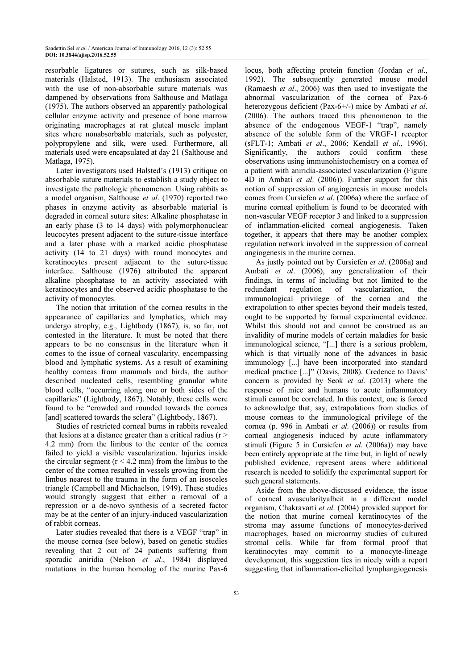resorbable ligatures or sutures, such as silk-based materials (Halsted, 1913). The enthusiasm associated with the use of non-absorbable suture materials was dampened by observations from Salthouse and Matlaga (1975). The authors observed an apparently pathological cellular enzyme activity and presence of bone marrow originating macrophages at rat gluteal muscle implant sites where nonabsorbable materials, such as polyester, polypropylene and silk, were used. Furthermore, all materials used were encapsulated at day 21 (Salthouse and Matlaga, 1975).

Later investigators used Halsted's (1913) critique on absorbable suture materials to establish a study object to investigate the pathologic phenomenon. Using rabbits as a model organism, Salthouse et al. (1970) reported two phases in enzyme activity as absorbable material is degraded in corneal suture sites: Alkaline phosphatase in an early phase (3 to 14 days) with polymorphonuclear leucocytes present adjacent to the suture-tissue interface and a later phase with a marked acidic phosphatase activity (14 to 21 days) with round monocytes and keratinocytes present adjacent to the suture-tissue interface. Salthouse (1976) attributed the apparent alkaline phosphatase to an activity associated with keratinocytes and the observed acidic phosphatase to the activity of monocytes.

The notion that irritation of the cornea results in the appearance of capillaries and lymphatics, which may undergo atrophy, e.g., Lightbody (1867), is, so far, not contested in the literature. It must be noted that there appears to be no consensus in the literature when it comes to the issue of corneal vascularity, encompassing blood and lymphatic systems. As a result of examining healthy corneas from mammals and birds, the author described nucleated cells, resembling granular white blood cells, "occurring along one or both sides of the capillaries" (Lightbody, 1867). Notably, these cells were found to be "crowded and rounded towards the cornea [and] scattered towards the sclera" (Lightbody, 1867).

Studies of restricted corneal burns in rabbits revealed that lesions at a distance greater than a critical radius  $(r >$ 4.2 mm) from the limbus to the center of the cornea failed to yield a visible vascularization. Injuries inside the circular segment  $(r < 4.2$  mm) from the limbus to the center of the cornea resulted in vessels growing from the limbus nearest to the trauma in the form of an isosceles triangle (Campbell and Michaelson, 1949). These studies would strongly suggest that either a removal of a repression or a de-novo synthesis of a secreted factor may be at the center of an injury-induced vascularization of rabbit corneas.

Later studies revealed that there is a VEGF "trap" in the mouse cornea (see below), based on genetic studies revealing that 2 out of 24 patients suffering from sporadic aniridia (Nelson et al., 1984) displayed mutations in the human homolog of the murine Pax-6

locus, both affecting protein function (Jordan et al., 1992). The subsequently generated mouse model (Ramaesh et al., 2006) was then used to investigate the abnormal vascularization of the cornea of Pax-6 heterozygous deficient (Pax-6+/-) mice by Ambati *et al.* (2006). The authors traced this phenomenon to the absence of the endogenous VEGF-1 "trap", namely absence of the soluble form of the VRGF-1 receptor (sFLT-1; Ambati et al., 2006; Kendall et al., 1996). Significantly, the authors could confirm these observations using immunohistochemistry on a cornea of a patient with aniridia-associated vascularization (Figure 4D in Ambati et al. (2006)). Further support for this notion of suppression of angiogenesis in mouse models comes from Cursiefen et al. (2006a) where the surface of murine corneal epithelium is found to be decorated with non-vascular VEGF receptor 3 and linked to a suppression of inflammation-elicited corneal angiogenesis. Taken together, it appears that there may be another complex regulation network involved in the suppression of corneal angiogenesis in the murine cornea.

As justly pointed out by Cursiefen et al. (2006a) and Ambati et al. (2006), any generalization of their findings, in terms of including but not limited to the redundant regulation of vascularization, the immunological privilege of the cornea and the extrapolation to other species beyond their models tested, ought to be supported by formal experimental evidence. Whilst this should not and cannot be construed as an invalidity of murine models of certain maladies for basic immunological science, "[...] there is a serious problem, which is that virtually none of the advances in basic immunology [...] have been incorporated into standard medical practice [...]" (Davis, 2008). Credence to Davis' concern is provided by Seok et al. (2013) where the response of mice and humans to acute inflammatory stimuli cannot be correlated. In this context, one is forced to acknowledge that, say, extrapolations from studies of mouse corneas to the immunological privilege of the cornea (p. 996 in Ambati et al. (2006)) or results from corneal angiogenesis induced by acute inflammatory stimuli (Figure 5 in Cursiefen et al. (2006a)) may have been entirely appropriate at the time but, in light of newly published evidence, represent areas where additional research is needed to solidify the experimental support for such general statements.

Aside from the above-discussed evidence, the issue of corneal avascularityalbeit in a different model organism, Chakravarti et al. (2004) provided support for the notion that murine corneal keratinocytes of the stroma may assume functions of monocytes-derived macrophages, based on microarray studies of cultured stromal cells. While far from formal proof that keratinocytes may commit to a monocyte-lineage development, this suggestion ties in nicely with a report suggesting that inflammation-elicited lymphangiogenesis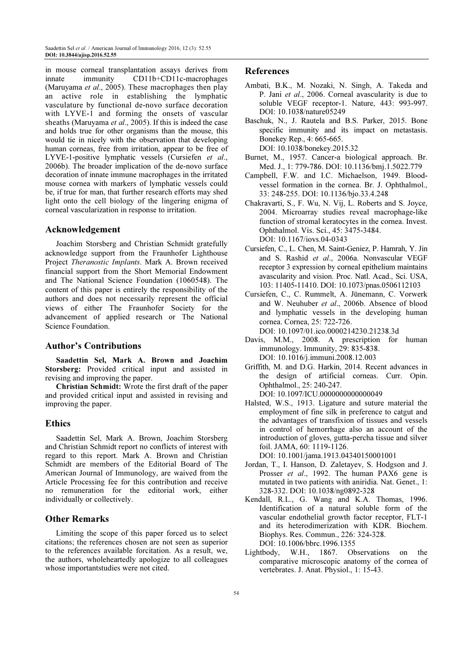in mouse corneal transplantation assays derives from innate immunity CD11b+CD11c-macrophages (Maruyama et al., 2005). These macrophages then play an active role in establishing the lymphatic vasculature by functional de-novo surface decoration with LYVE-1 and forming the onsets of vascular sheaths (Maruyama et al., 2005). If this is indeed the case and holds true for other organisms than the mouse, this would tie in nicely with the observation that developing human corneas, free from irritation, appear to be free of LYVE-1-positive lymphatic vessels (Cursiefen et al., 2006b). The broader implication of the de-novo surface decoration of innate immune macrophages in the irritated mouse cornea with markers of lymphatic vessels could be, if true for man, that further research efforts may shed light onto the cell biology of the lingering enigma of corneal vascularization in response to irritation.

### Acknowledgement

Joachim Storsberg and Christian Schmidt gratefully acknowledge support from the Fraunhofer Lighthouse Project Theranostic Implants. Mark A. Brown received financial support from the Short Memorial Endowment and The National Science Foundation (1060548). The content of this paper is entirely the responsibility of the authors and does not necessarily represent the official views of either The Fraunhofer Society for the advancement of applied research or The National Science Foundation.

#### Author's Contributions

Saadettin Sel, Mark A. Brown and Joachim Storsberg: Provided critical input and assisted in revising and improving the paper.

Christian Schmidt: Wrote the first draft of the paper and provided critical input and assisted in revising and improving the paper.

### **Ethics**

Saadettin Sel, Mark A. Brown, Joachim Storsberg and Christian Schmidt report no conflicts of interest with regard to this report. Mark A. Brown and Christian Schmidt are members of the Editorial Board of The American Journal of Immunology, are waived from the Article Processing fee for this contribution and receive no remuneration for the editorial work, either individually or collectively.

### Other Remarks

Limiting the scope of this paper forced us to select citations; the references chosen are not seen as superior to the references available forcitation. As a result, we, the authors, wholeheartedly apologize to all colleagues whose importantstudies were not cited.

#### References

- Ambati, B.K., M. Nozaki, N. Singh, A. Takeda and P. Jani et al., 2006. Corneal avascularity is due to soluble VEGF receptor-1. Nature, 443: 993-997. DOI: 10.1038/nature05249
- Baschuk, N., J. Rautela and B.S. Parker, 2015. Bone specific immunity and its impact on metastasis. Bonekey Rep., 4: 665-665. DOI: 10.1038/bonekey.2015.32
- Burnet, M., 1957. Cancer-a biological approach. Br. Med. J., 1: 779-786. DOI: 10.1136/bmj.1.5022.779
- Campbell, F.W. and I.C. Michaelson, 1949. Bloodvessel formation in the cornea. Br. J. Ophthalmol., 33: 248-255. DOI: 10.1136/bjo.33.4.248
- Chakravarti, S., F. Wu, N. Vij, L. Roberts and S. Joyce, 2004. Microarray studies reveal macrophage-like function of stromal keratocytes in the cornea. Invest. Ophthalmol. Vis. Sci., 45: 3475-3484. DOI: 10.1167/iovs.04-0343
- Cursiefen, C., L. Chen, M. Saint-Geniez, P. Hamrah, Y. Jin and S. Rashid et al., 2006a. Nonvascular VEGF receptor 3 expression by corneal epithelium maintains avascularity and vision. Proc. Natl. Acad., Sci. USA, 103: 11405-11410. DOI: 10.1073/pnas.0506112103
- Cursiefen, C., C. Rummelt, A. Jünemann, C. Vorwerk and W. Neuhuber et al., 2006b. Absence of blood and lymphatic vessels in the developing human cornea. Cornea, 25: 722-726. DOI: 10.1097/01.ico.0000214230.21238.3d
- Davis, M.M., 2008. A prescription for human immunology. Immunity, 29: 835-838. DOI: 10.1016/j.immuni.2008.12.003
- Griffith, M. and D.G. Harkin, 2014. Recent advances in the design of artificial corneas. Curr. Opin. Ophthalmol., 25: 240-247. DOI: 10.1097/ICU.0000000000000049
- Halsted, W.S., 1913. Ligature and suture material the employment of fine silk in preference to catgut and the advantages of transfixion of tissues and vessels in control of hemorrhage also an account of the introduction of gloves, gutta-percha tissue and silver foil. JAMA, 60: 1119-1126.

DOI: 10.1001/jama.1913.04340150001001

- Jordan, T., I. Hanson, D. Zaletayev, S. Hodgson and J. Prosser et al., 1992. The human PAX6 gene is mutated in two patients with aniridia. Nat. Genet., 1: 328-332. DOI: 10.1038/ng0892-328
- Kendall, R.L., G. Wang and K.A. Thomas, 1996. Identification of a natural soluble form of the vascular endothelial growth factor receptor, FLT-1 and its heterodimerization with KDR. Biochem. Biophys. Res. Commun., 226: 324-328. DOI: 10.1006/bbrc.1996.1355
- Lightbody, W.H., 1867. Observations on the comparative microscopic anatomy of the cornea of vertebrates. J. Anat. Physiol., 1: 15-43.